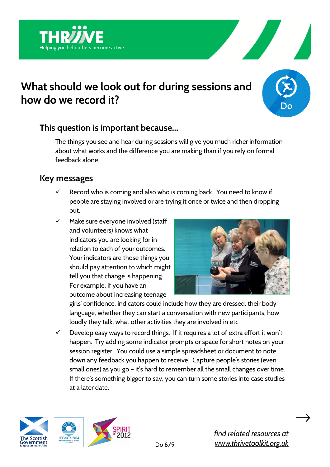



## **This question is important because…**

g you help others become active.

The things you see and hear during sessions will give you much richer information about what works and the difference you are making than if you rely on formal feedback alone.

## **Key messages**

- $\checkmark$  Record who is coming and also who is coming back. You need to know if people are staying involved or are trying it once or twice and then dropping out.
- $\checkmark$  Make sure everyone involved (staff and volunteers) knows what indicators you are looking for in relation to each of your outcomes. Your indicators are those things you should pay attention to which might tell you that change is happening. For example, if you have an outcome about increasing teenage



girls' confidence, indicators could include how they are dressed, their body language, whether they can start a conversation with new participants, how loudly they talk, what other activities they are involved in etc.

 $\checkmark$  Develop easy ways to record things. If it requires a lot of extra effort it won't happen. Try adding some indicator prompts or space for short notes on your session register. You could use a simple spreadsheet or document to note down any feedback you happen to receive. Capture people's stories (even small ones) as you go – it's hard to remember all the small changes over time. If there's something bigger to say, you can turn some stories into case studies at a later date.



 $\rightarrow$